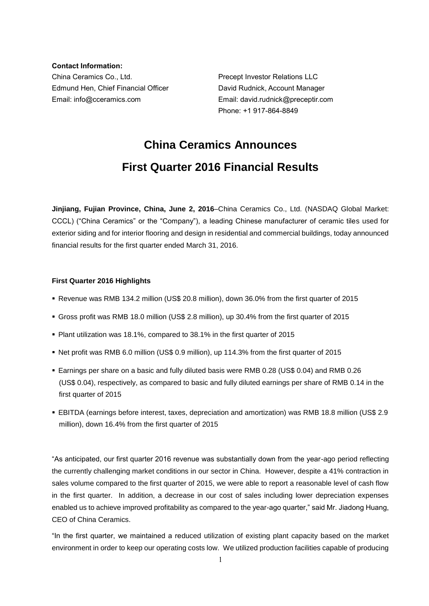**Contact Information:** China Ceramics Co., Ltd. Precept Investor Relations LLC Edmund Hen, Chief Financial Officer **David Rudnick, Account Manager** Email: info@cceramics.com Email: david.rudnick@preceptir.com

Phone: +1 917-864-8849

# **China Ceramics Announces First Quarter 2016 Financial Results**

**Jinjiang, Fujian Province, China, June 2, 2016**–China Ceramics Co., Ltd. (NASDAQ Global Market: CCCL) ("China Ceramics" or the "Company"), a leading Chinese manufacturer of ceramic tiles used for exterior siding and for interior flooring and design in residential and commercial buildings, today announced financial results for the first quarter ended March 31, 2016.

## **First Quarter 2016 Highlights**

- Revenue was RMB 134.2 million (US\$ 20.8 million), down 36.0% from the first quarter of 2015
- Gross profit was RMB 18.0 million (US\$ 2.8 million), up 30.4% from the first quarter of 2015
- Plant utilization was 18.1%, compared to 38.1% in the first quarter of 2015
- Net profit was RMB 6.0 million (US\$ 0.9 million), up 114.3% from the first quarter of 2015
- Earnings per share on a basic and fully diluted basis were RMB 0.28 (US\$ 0.04) and RMB 0.26 (US\$ 0.04), respectively, as compared to basic and fully diluted earnings per share of RMB 0.14 in the first quarter of 2015
- EBITDA (earnings before interest, taxes, depreciation and amortization) was RMB 18.8 million (US\$ 2.9 million), down 16.4% from the first quarter of 2015

"As anticipated, our first quarter 2016 revenue was substantially down from the year-ago period reflecting the currently challenging market conditions in our sector in China. However, despite a 41% contraction in sales volume compared to the first quarter of 2015, we were able to report a reasonable level of cash flow in the first quarter. In addition, a decrease in our cost of sales including lower depreciation expenses enabled us to achieve improved profitability as compared to the year-ago quarter," said Mr. Jiadong Huang, CEO of China Ceramics.

"In the first quarter, we maintained a reduced utilization of existing plant capacity based on the market environment in order to keep our operating costs low. We utilized production facilities capable of producing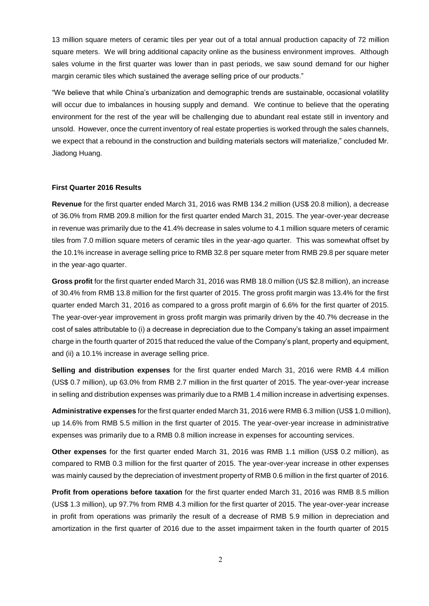13 million square meters of ceramic tiles per year out of a total annual production capacity of 72 million square meters. We will bring additional capacity online as the business environment improves. Although sales volume in the first quarter was lower than in past periods, we saw sound demand for our higher margin ceramic tiles which sustained the average selling price of our products."

"We believe that while China's urbanization and demographic trends are sustainable, occasional volatility will occur due to imbalances in housing supply and demand. We continue to believe that the operating environment for the rest of the year will be challenging due to abundant real estate still in inventory and unsold. However, once the current inventory of real estate properties is worked through the sales channels, we expect that a rebound in the construction and building materials sectors will materialize," concluded Mr. Jiadong Huang.

#### **First Quarter 2016 Results**

**Revenue** for the first quarter ended March 31, 2016 was RMB 134.2 million (US\$ 20.8 million), a decrease of 36.0% from RMB 209.8 million for the first quarter ended March 31, 2015. The year-over-year decrease in revenue was primarily due to the 41.4% decrease in sales volume to 4.1 million square meters of ceramic tiles from 7.0 million square meters of ceramic tiles in the year-ago quarter. This was somewhat offset by the 10.1% increase in average selling price to RMB 32.8 per square meter from RMB 29.8 per square meter in the year-ago quarter.

**Gross profit** for the first quarter ended March 31, 2016 was RMB 18.0 million (US \$2.8 million), an increase of 30.4% from RMB 13.8 million for the first quarter of 2015. The gross profit margin was 13.4% for the first quarter ended March 31, 2016 as compared to a gross profit margin of 6.6% for the first quarter of 2015. The year-over-year improvement in gross profit margin was primarily driven by the 40.7% decrease in the cost of sales attributable to (i) a decrease in depreciation due to the Company's taking an asset impairment charge in the fourth quarter of 2015 that reduced the value of the Company's plant, property and equipment, and (ii) a 10.1% increase in average selling price.

**Selling and distribution expenses** for the first quarter ended March 31, 2016 were RMB 4.4 million (US\$ 0.7 million), up 63.0% from RMB 2.7 million in the first quarter of 2015. The year-over-year increase in selling and distribution expenses was primarily due to a RMB 1.4 million increase in advertising expenses.

**Administrative expenses** for the first quarter ended March 31, 2016 were RMB 6.3 million (US\$ 1.0 million), up 14.6% from RMB 5.5 million in the first quarter of 2015. The year-over-year increase in administrative expenses was primarily due to a RMB 0.8 million increase in expenses for accounting services.

**Other expenses** for the first quarter ended March 31, 2016 was RMB 1.1 million (US\$ 0.2 million), as compared to RMB 0.3 million for the first quarter of 2015. The year-over-year increase in other expenses was mainly caused by the depreciation of investment property of RMB 0.6 million in the first quarter of 2016.

**Profit from operations before taxation** for the first quarter ended March 31, 2016 was RMB 8.5 million (US\$ 1.3 million), up 97.7% from RMB 4.3 million for the first quarter of 2015. The year-over-year increase in profit from operations was primarily the result of a decrease of RMB 5.9 million in depreciation and amortization in the first quarter of 2016 due to the asset impairment taken in the fourth quarter of 2015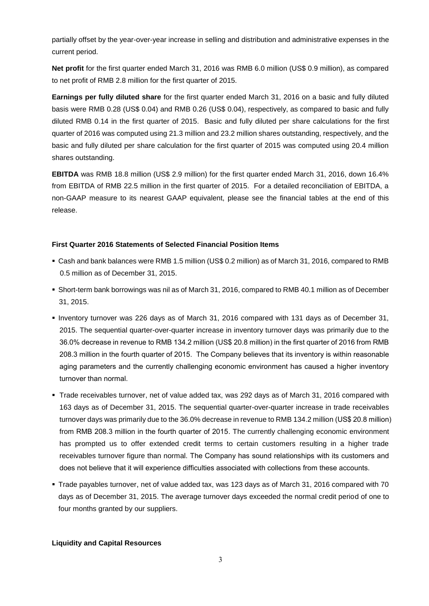partially offset by the year-over-year increase in selling and distribution and administrative expenses in the current period.

**Net profit** for the first quarter ended March 31, 2016 was RMB 6.0 million (US\$ 0.9 million), as compared to net profit of RMB 2.8 million for the first quarter of 2015.

**Earnings per fully diluted share** for the first quarter ended March 31, 2016 on a basic and fully diluted basis were RMB 0.28 (US\$ 0.04) and RMB 0.26 (US\$ 0.04), respectively, as compared to basic and fully diluted RMB 0.14 in the first quarter of 2015. Basic and fully diluted per share calculations for the first quarter of 2016 was computed using 21.3 million and 23.2 million shares outstanding, respectively, and the basic and fully diluted per share calculation for the first quarter of 2015 was computed using 20.4 million shares outstanding.

**EBITDA** was RMB 18.8 million (US\$ 2.9 million) for the first quarter ended March 31, 2016, down 16.4% from EBITDA of RMB 22.5 million in the first quarter of 2015. For a detailed reconciliation of EBITDA, a non-GAAP measure to its nearest GAAP equivalent, please see the financial tables at the end of this release.

## **First Quarter 2016 Statements of Selected Financial Position Items**

- Cash and bank balances were RMB 1.5 million (US\$ 0.2 million) as of March 31, 2016, compared to RMB 0.5 million as of December 31, 2015.
- Short-term bank borrowings was nil as of March 31, 2016, compared to RMB 40.1 million as of December 31, 2015.
- Inventory turnover was 226 days as of March 31, 2016 compared with 131 days as of December 31, 2015. The sequential quarter-over-quarter increase in inventory turnover days was primarily due to the 36.0% decrease in revenue to RMB 134.2 million (US\$ 20.8 million) in the first quarter of 2016 from RMB 208.3 million in the fourth quarter of 2015. The Company believes that its inventory is within reasonable aging parameters and the currently challenging economic environment has caused a higher inventory turnover than normal.
- Trade receivables turnover, net of value added tax, was 292 days as of March 31, 2016 compared with 163 days as of December 31, 2015. The sequential quarter-over-quarter increase in trade receivables turnover days was primarily due to the 36.0% decrease in revenue to RMB 134.2 million (US\$ 20.8 million) from RMB 208.3 million in the fourth quarter of 2015. The currently challenging economic environment has prompted us to offer extended credit terms to certain customers resulting in a higher trade receivables turnover figure than normal. The Company has sound relationships with its customers and does not believe that it will experience difficulties associated with collections from these accounts.
- Trade payables turnover, net of value added tax, was 123 days as of March 31, 2016 compared with 70 days as of December 31, 2015. The average turnover days exceeded the normal credit period of one to four months granted by our suppliers.

#### **Liquidity and Capital Resources**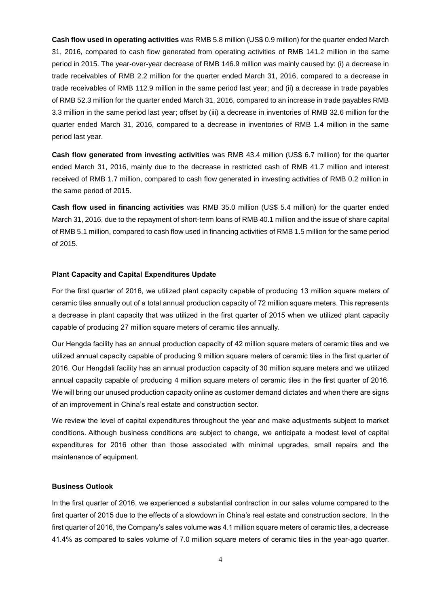**Cash flow used in operating activities** was RMB 5.8 million (US\$ 0.9 million) for the quarter ended March 31, 2016, compared to cash flow generated from operating activities of RMB 141.2 million in the same period in 2015. The year-over-year decrease of RMB 146.9 million was mainly caused by: (i) a decrease in trade receivables of RMB 2.2 million for the quarter ended March 31, 2016, compared to a decrease in trade receivables of RMB 112.9 million in the same period last year; and (ii) a decrease in trade payables of RMB 52.3 million for the quarter ended March 31, 2016, compared to an increase in trade payables RMB 3.3 million in the same period last year; offset by (iii) a decrease in inventories of RMB 32.6 million for the quarter ended March 31, 2016, compared to a decrease in inventories of RMB 1.4 million in the same period last year.

**Cash flow generated from investing activities** was RMB 43.4 million (US\$ 6.7 million) for the quarter ended March 31, 2016, mainly due to the decrease in restricted cash of RMB 41.7 million and interest received of RMB 1.7 million, compared to cash flow generated in investing activities of RMB 0.2 million in the same period of 2015.

**Cash flow used in financing activities** was RMB 35.0 million (US\$ 5.4 million) for the quarter ended March 31, 2016, due to the repayment of short-term loans of RMB 40.1 million and the issue of share capital of RMB 5.1 million, compared to cash flow used in financing activities of RMB 1.5 million for the same period of 2015.

#### **Plant Capacity and Capital Expenditures Update**

For the first quarter of 2016, we utilized plant capacity capable of producing 13 million square meters of ceramic tiles annually out of a total annual production capacity of 72 million square meters. This represents a decrease in plant capacity that was utilized in the first quarter of 2015 when we utilized plant capacity capable of producing 27 million square meters of ceramic tiles annually.

Our Hengda facility has an annual production capacity of 42 million square meters of ceramic tiles and we utilized annual capacity capable of producing 9 million square meters of ceramic tiles in the first quarter of 2016. Our Hengdali facility has an annual production capacity of 30 million square meters and we utilized annual capacity capable of producing 4 million square meters of ceramic tiles in the first quarter of 2016. We will bring our unused production capacity online as customer demand dictates and when there are signs of an improvement in China's real estate and construction sector.

We review the level of capital expenditures throughout the year and make adjustments subject to market conditions. Although business conditions are subject to change, we anticipate a modest level of capital expenditures for 2016 other than those associated with minimal upgrades, small repairs and the maintenance of equipment.

#### **Business Outlook**

In the first quarter of 2016, we experienced a substantial contraction in our sales volume compared to the first quarter of 2015 due to the effects of a slowdown in China's real estate and construction sectors. In the first quarter of 2016, the Company's sales volume was 4.1 million square meters of ceramic tiles, a decrease 41.4% as compared to sales volume of 7.0 million square meters of ceramic tiles in the year-ago quarter.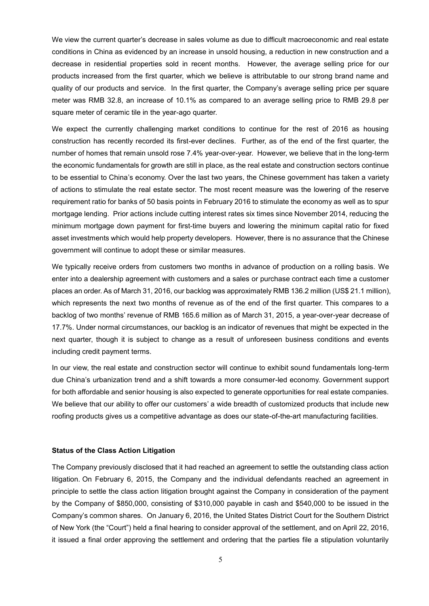We view the current quarter's decrease in sales volume as due to difficult macroeconomic and real estate conditions in China as evidenced by an increase in unsold housing, a reduction in new construction and a decrease in residential properties sold in recent months. However, the average selling price for our products increased from the first quarter, which we believe is attributable to our strong brand name and quality of our products and service. In the first quarter, the Company's average selling price per square meter was RMB 32.8, an increase of 10.1% as compared to an average selling price to RMB 29.8 per square meter of ceramic tile in the year-ago quarter.

We expect the currently challenging market conditions to continue for the rest of 2016 as housing construction has recently recorded its first-ever declines. Further, as of the end of the first quarter, the number of homes that remain unsold rose 7.4% year-over-year. However, we believe that in the long-term the economic fundamentals for growth are still in place, as the real estate and construction sectors continue to be essential to China's economy. Over the last two years, the Chinese government has taken a variety of actions to stimulate the real estate sector. The most recent measure was the lowering of the reserve requirement ratio for banks of 50 basis points in February 2016 to stimulate the economy as well as to spur mortgage lending. Prior actions include cutting interest rates six times since November 2014, reducing the minimum mortgage down payment for first-time buyers and lowering the minimum capital ratio for fixed asset investments which would help property developers. However, there is no assurance that the Chinese government will continue to adopt these or similar measures.

We typically receive orders from customers two months in advance of production on a rolling basis. We enter into a dealership agreement with customers and a sales or purchase contract each time a customer places an order. As of March 31, 2016, our backlog was approximately RMB 136.2 million (US\$ 21.1 million), which represents the next two months of revenue as of the end of the first quarter. This compares to a backlog of two months' revenue of RMB 165.6 million as of March 31, 2015, a year-over-year decrease of 17.7%. Under normal circumstances, our backlog is an indicator of revenues that might be expected in the next quarter, though it is subject to change as a result of unforeseen business conditions and events including credit payment terms.

In our view, the real estate and construction sector will continue to exhibit sound fundamentals long-term due China's urbanization trend and a shift towards a more consumer-led economy. Government support for both affordable and senior housing is also expected to generate opportunities for real estate companies. We believe that our ability to offer our customers' a wide breadth of customized products that include new roofing products gives us a competitive advantage as does our state-of-the-art manufacturing facilities.

#### **Status of the Class Action Litigation**

The Company previously disclosed that it had reached an agreement to settle the outstanding class action litigation. On February 6, 2015, the Company and the individual defendants reached an agreement in principle to settle the class action litigation brought against the Company in consideration of the payment by the Company of \$850,000, consisting of \$310,000 payable in cash and \$540,000 to be issued in the Company's common shares. On January 6, 2016, the United States District Court for the Southern District of New York (the "Court") held a final hearing to consider approval of the settlement, and on April 22, 2016, it issued a final order approving the settlement and ordering that the parties file a stipulation voluntarily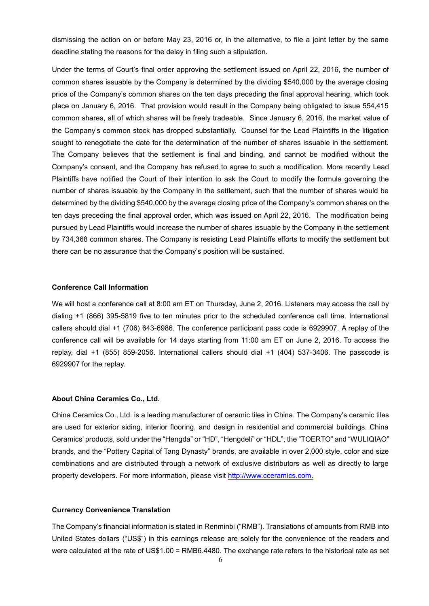dismissing the action on or before May 23, 2016 or, in the alternative, to file a joint letter by the same deadline stating the reasons for the delay in filing such a stipulation.

Under the terms of Court's final order approving the settlement issued on April 22, 2016, the number of common shares issuable by the Company is determined by the dividing \$540,000 by the average closing price of the Company's common shares on the ten days preceding the final approval hearing, which took place on January 6, 2016. That provision would result in the Company being obligated to issue 554,415 common shares, all of which shares will be freely tradeable. Since January 6, 2016, the market value of the Company's common stock has dropped substantially. Counsel for the Lead Plaintiffs in the litigation sought to renegotiate the date for the determination of the number of shares issuable in the settlement. The Company believes that the settlement is final and binding, and cannot be modified without the Company's consent, and the Company has refused to agree to such a modification. More recently Lead Plaintiffs have notified the Court of their intention to ask the Court to modify the formula governing the number of shares issuable by the Company in the settlement, such that the number of shares would be determined by the dividing \$540,000 by the average closing price of the Company's common shares on the ten days preceding the final approval order, which was issued on April 22, 2016. The modification being pursued by Lead Plaintiffs would increase the number of shares issuable by the Company in the settlement by 734,368 common shares. The Company is resisting Lead Plaintiffs efforts to modify the settlement but there can be no assurance that the Company's position will be sustained.

#### **Conference Call Information**

We will host a conference call at 8:00 am ET on Thursday, June 2, 2016. Listeners may access the call by dialing +1 (866) 395-5819 five to ten minutes prior to the scheduled conference call time. International callers should dial +1 (706) 643-6986. The conference participant pass code is 6929907. A replay of the conference call will be available for 14 days starting from 11:00 am ET on June 2, 2016. To access the replay, dial +1 (855) 859-2056. International callers should dial +1 (404) 537-3406. The passcode is 6929907 for the replay.

#### **About China Ceramics Co., Ltd.**

China Ceramics Co., Ltd. is a leading manufacturer of ceramic tiles in China. The Company's ceramic tiles are used for exterior siding, interior flooring, and design in residential and commercial buildings. China Ceramics' products, sold under the "Hengda" or "HD", "Hengdeli" or "HDL", the "TOERTO" and "WULIQIAO" brands, and the "Pottery Capital of Tang Dynasty" brands, are available in over 2,000 style, color and size combinations and are distributed through a network of exclusive distributors as well as directly to large property developers. For more information, please visit [http://www.cceramics.com.](http://www.cceramics.com/)

#### **Currency Convenience Translation**

The Company's financial information is stated in Renminbi ("RMB"). Translations of amounts from RMB into United States dollars ("US\$") in this earnings release are solely for the convenience of the readers and were calculated at the rate of US\$1.00 = RMB6.4480. The exchange rate refers to the historical rate as set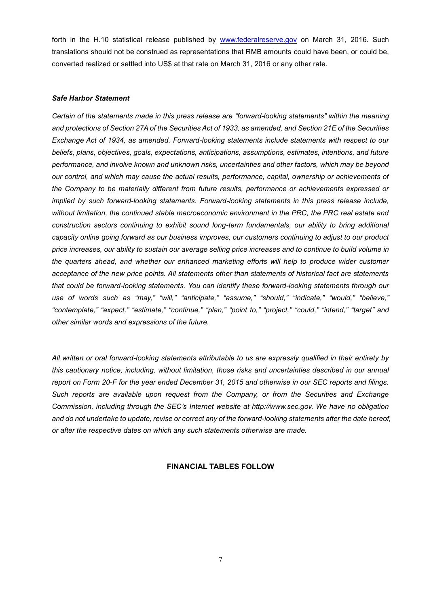forth in the H.10 statistical release published by [www.federalreserve.gov](http://www.federalreserve.gov/) on March 31, 2016. Such translations should not be construed as representations that RMB amounts could have been, or could be, converted realized or settled into US\$ at that rate on March 31, 2016 or any other rate.

#### *Safe Harbor Statement*

*Certain of the statements made in this press release are "forward-looking statements" within the meaning and protections of Section 27A of the Securities Act of 1933, as amended, and Section 21E of the Securities Exchange Act of 1934, as amended. Forward-looking statements include statements with respect to our beliefs, plans, objectives, goals, expectations, anticipations, assumptions, estimates, intentions, and future performance, and involve known and unknown risks, uncertainties and other factors, which may be beyond our control, and which may cause the actual results, performance, capital, ownership or achievements of the Company to be materially different from future results, performance or achievements expressed or implied by such forward-looking statements. Forward-looking statements in this press release include, without limitation, the continued stable macroeconomic environment in the PRC, the PRC real estate and construction sectors continuing to exhibit sound long-term fundamentals, our ability to bring additional capacity online going forward as our business improves, our customers continuing to adjust to our product price increases, our ability to sustain our average selling price increases and to continue to build volume in the quarters ahead, and whether our enhanced marketing efforts will help to produce wider customer acceptance of the new price points. All statements other than statements of historical fact are statements that could be forward-looking statements. You can identify these forward-looking statements through our use of words such as "may," "will," "anticipate," "assume," "should," "indicate," "would," "believe," "contemplate," "expect," "estimate," "continue," "plan," "point to," "project," "could," "intend," "target" and other similar words and expressions of the future.* 

*All written or oral forward-looking statements attributable to us are expressly qualified in their entirety by this cautionary notice, including, without limitation, those risks and uncertainties described in our annual report on Form 20-F for the year ended December 31, 2015 and otherwise in our SEC reports and filings. Such reports are available upon request from the Company, or from the Securities and Exchange Commission, including through the SEC's Internet website at http://www.sec.gov. We have no obligation and do not undertake to update, revise or correct any of the forward-looking statements after the date hereof, or after the respective dates on which any such statements otherwise are made.*

#### **FINANCIAL TABLES FOLLOW**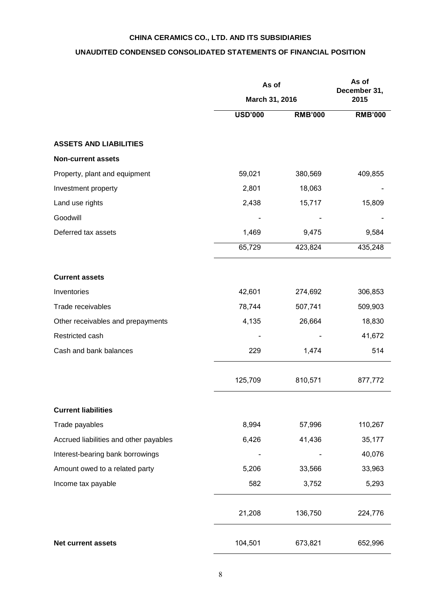## **CHINA CERAMICS CO., LTD. AND ITS SUBSIDIARIES**

## **UNAUDITED CONDENSED CONSOLIDATED STATEMENTS OF FINANCIAL POSITION**

|                                        | As of          | As of<br>December 31, |                |
|----------------------------------------|----------------|-----------------------|----------------|
|                                        |                | March 31, 2016        |                |
|                                        | <b>USD'000</b> | <b>RMB'000</b>        | <b>RMB'000</b> |
| <b>ASSETS AND LIABILITIES</b>          |                |                       |                |
| <b>Non-current assets</b>              |                |                       |                |
| Property, plant and equipment          | 59,021         | 380,569               | 409,855        |
| Investment property                    | 2,801          | 18,063                |                |
| Land use rights                        | 2,438          | 15,717                | 15,809         |
| Goodwill                               |                |                       |                |
| Deferred tax assets                    | 1,469          | 9,475                 | 9,584          |
|                                        | 65,729         | 423,824               | 435,248        |
| <b>Current assets</b>                  |                |                       |                |
| Inventories                            | 42,601         | 274,692               | 306,853        |
| Trade receivables                      | 78,744         | 507,741               | 509,903        |
| Other receivables and prepayments      | 4,135          | 26,664                | 18,830         |
| Restricted cash                        |                |                       | 41,672         |
| Cash and bank balances                 | 229            | 1,474                 | 514            |
|                                        | 125,709        | 810,571               | 877,772        |
| <b>Current liabilities</b>             |                |                       |                |
| Trade payables                         | 8,994          | 57,996                | 110,267        |
| Accrued liabilities and other payables | 6,426          | 41,436                | 35,177         |
| Interest-bearing bank borrowings       |                |                       | 40,076         |
| Amount owed to a related party         | 5,206          | 33,566                | 33,963         |
| Income tax payable                     | 582            | 3,752                 | 5,293          |
|                                        | 21,208         | 136,750               | 224,776        |
| <b>Net current assets</b>              | 104,501        | 673,821               | 652,996        |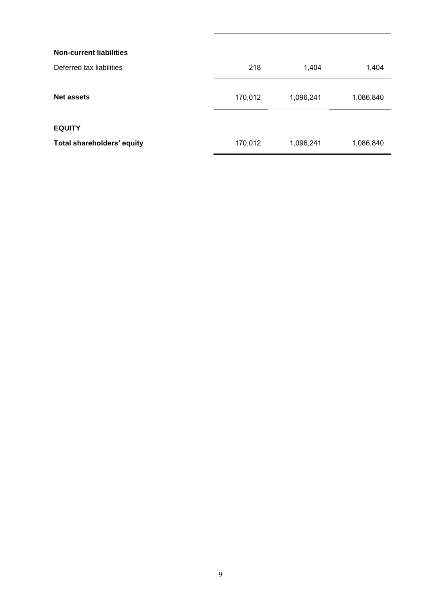| <b>Non-current liabilities</b> |         |           |           |
|--------------------------------|---------|-----------|-----------|
| Deferred tax liabilities       | 218     | 1,404     | 1,404     |
| Net assets                     | 170,012 | 1,096,241 | 1,086,840 |
| <b>EQUITY</b>                  |         |           |           |
| Total shareholders' equity     | 170,012 | 1,096,241 | 1,086,840 |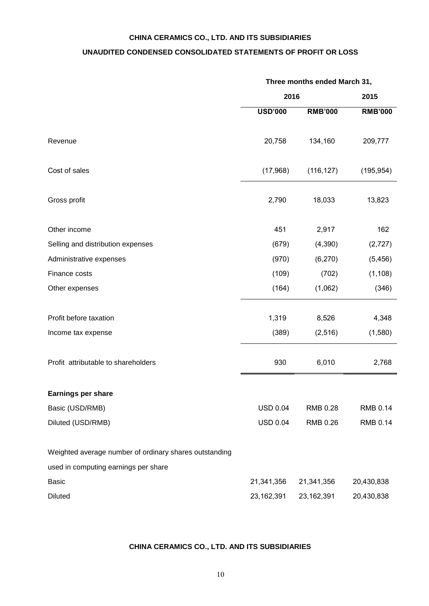## **CHINA CERAMICS CO., LTD. AND ITS SUBSIDIARIES**

## **UNAUDITED CONDENSED CONSOLIDATED STATEMENTS OF PROFIT OR LOSS**

|                                                        | Three months ended March 31, |                |                |
|--------------------------------------------------------|------------------------------|----------------|----------------|
|                                                        | 2016                         |                | 2015           |
|                                                        | <b>USD'000</b>               | <b>RMB'000</b> | <b>RMB'000</b> |
| Revenue                                                | 20,758                       | 134,160        | 209,777        |
| Cost of sales                                          | (17,968)                     | (116, 127)     | (195, 954)     |
| Gross profit                                           | 2,790                        | 18,033         | 13,823         |
| Other income                                           | 451                          | 2,917          | 162            |
| Selling and distribution expenses                      | (679)                        | (4,390)        | (2,727)        |
| Administrative expenses                                | (970)                        | (6, 270)       | (5, 456)       |
| Finance costs                                          | (109)                        | (702)          | (1, 108)       |
| Other expenses                                         | (164)                        | (1,062)        | (346)          |
| Profit before taxation                                 | 1,319                        | 8,526          | 4,348          |
| Income tax expense                                     | (389)                        | (2, 516)       | (1,580)        |
| Profit attributable to shareholders                    | 930                          | 6,010          | 2,768          |
| Earnings per share                                     |                              |                |                |
| Basic (USD/RMB)                                        | <b>USD 0.04</b>              | RMB 0.28       | RMB 0.14       |
| Diluted (USD/RMB)                                      | <b>USD 0.04</b>              | RMB 0.26       | RMB 0.14       |
| Weighted average number of ordinary shares outstanding |                              |                |                |
| used in computing earnings per share                   |                              |                |                |
| <b>Basic</b>                                           | 21,341,356                   | 21,341,356     | 20,430,838     |
| <b>Diluted</b>                                         | 23, 162, 391                 | 23,162,391     | 20,430,838     |

## **CHINA CERAMICS CO., LTD. AND ITS SUBSIDIARIES**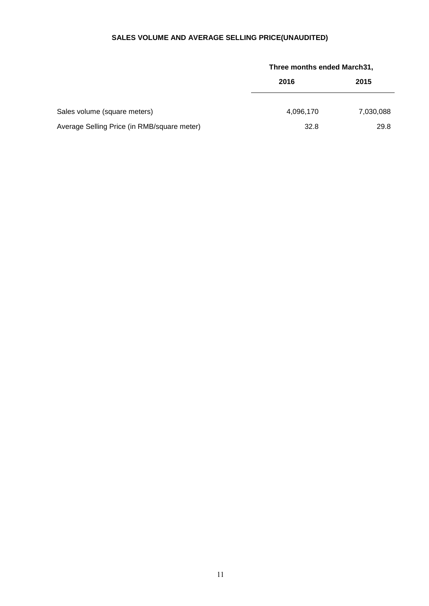## **SALES VOLUME AND AVERAGE SELLING PRICE(UNAUDITED)**

|                                             |           | Three months ended March31, |  |  |
|---------------------------------------------|-----------|-----------------------------|--|--|
|                                             | 2016      | 2015                        |  |  |
| Sales volume (square meters)                | 4,096,170 | 7,030,088                   |  |  |
| Average Selling Price (in RMB/square meter) | 32.8      | 29.8                        |  |  |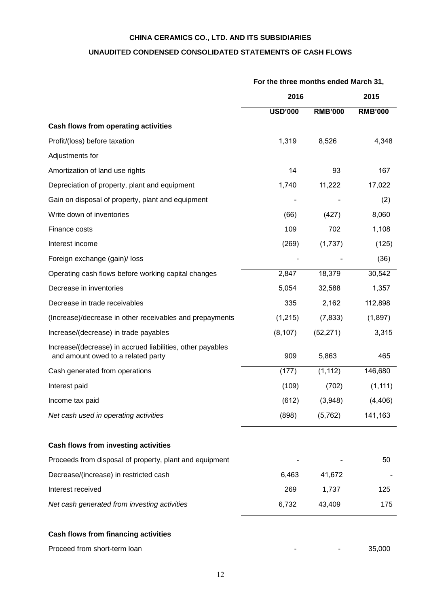## **CHINA CERAMICS CO., LTD. AND ITS SUBSIDIARIES**

## **UNAUDITED CONDENSED CONSOLIDATED STATEMENTS OF CASH FLOWS**

|                                                                                                  | For the three months ended March 31, |                |                |
|--------------------------------------------------------------------------------------------------|--------------------------------------|----------------|----------------|
|                                                                                                  | 2016                                 |                |                |
|                                                                                                  | <b>USD'000</b>                       | <b>RMB'000</b> | <b>RMB'000</b> |
| <b>Cash flows from operating activities</b>                                                      |                                      |                |                |
| Profit/(loss) before taxation                                                                    | 1,319                                | 8,526          | 4,348          |
| Adjustments for                                                                                  |                                      |                |                |
| Amortization of land use rights                                                                  | 14                                   | 93             | 167            |
| Depreciation of property, plant and equipment                                                    | 1,740                                | 11,222         | 17,022         |
| Gain on disposal of property, plant and equipment                                                |                                      |                | (2)            |
| Write down of inventories                                                                        | (66)                                 | (427)          | 8,060          |
| Finance costs                                                                                    | 109                                  | 702            | 1,108          |
| Interest income                                                                                  | (269)                                | (1,737)        | (125)          |
| Foreign exchange (gain)/ loss                                                                    |                                      |                | (36)           |
| Operating cash flows before working capital changes                                              | 2,847                                | 18,379         | 30,542         |
| Decrease in inventories                                                                          | 5,054                                | 32,588         | 1,357          |
| Decrease in trade receivables                                                                    | 335                                  | 2,162          | 112,898        |
| (Increase)/decrease in other receivables and prepayments                                         | (1,215)                              | (7, 833)       | (1,897)        |
| Increase/(decrease) in trade payables                                                            | (8, 107)                             | (52, 271)      | 3,315          |
| Increase/(decrease) in accrued liabilities, other payables<br>and amount owed to a related party | 909                                  | 5,863          | 465            |
| Cash generated from operations                                                                   | (177)                                | (1, 112)       | 146,680        |
| Interest paid                                                                                    | (109)                                | (702)          | (1, 111)       |
| Income tax paid                                                                                  | (612)                                | (3,948)        | (4, 406)       |
| Net cash used in operating activities                                                            | (898)                                | (5,762)        | 141,163        |
| Cash flows from investing activities                                                             |                                      |                |                |
| Proceeds from disposal of property, plant and equipment                                          |                                      |                | 50             |
| Decrease/(increase) in restricted cash                                                           | 6,463                                | 41,672         |                |
| Interest received                                                                                | 269                                  | 1,737          | 125            |
| Net cash generated from investing activities                                                     | 6,732                                | 43,409         | 175            |
| Cash flows from financing activities                                                             |                                      |                |                |
| Proceed from short-term loan                                                                     |                                      |                | 35,000         |

## 12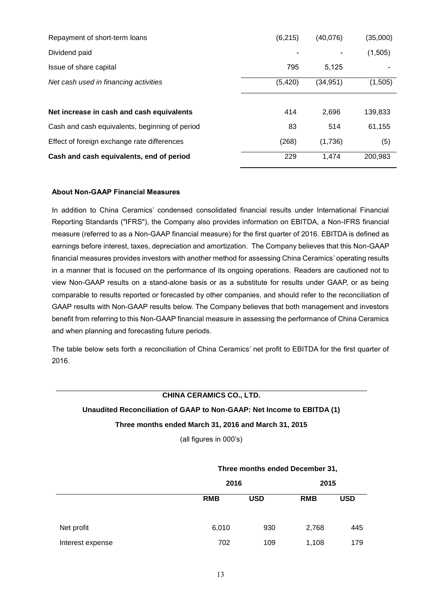| Repayment of short-term loans                  | (6, 215) | (40,076)  | (35,000) |
|------------------------------------------------|----------|-----------|----------|
| Dividend paid                                  |          |           | (1,505)  |
| Issue of share capital                         | 795      | 5.125     |          |
| Net cash used in financing activities          | (5, 420) | (34, 951) | (1,505)  |
|                                                |          |           |          |
| Net increase in cash and cash equivalents      | 414      | 2,696     | 139,833  |
| Cash and cash equivalents, beginning of period | 83       | 514       | 61,155   |
| Effect of foreign exchange rate differences    | (268)    | (1,736)   | (5)      |
| Cash and cash equivalents, end of period       | 229      | 1,474     | 200,983  |

## **About Non-GAAP Financial Measures**

In addition to China Ceramics' condensed consolidated financial results under International Financial Reporting Standards ("IFRS"), the Company also provides information on EBITDA, a Non-IFRS financial measure (referred to as a Non-GAAP financial measure) for the first quarter of 2016. EBITDA is defined as earnings before interest, taxes, depreciation and amortization. The Company believes that this Non-GAAP financial measures provides investors with another method for assessing China Ceramics' operating results in a manner that is focused on the performance of its ongoing operations. Readers are cautioned not to view Non-GAAP results on a stand-alone basis or as a substitute for results under GAAP, or as being comparable to results reported or forecasted by other companies, and should refer to the reconciliation of GAAP results with Non-GAAP results below. The Company believes that both management and investors benefit from referring to this Non-GAAP financial measure in assessing the performance of China Ceramics and when planning and forecasting future periods.

The table below sets forth a reconciliation of China Ceramics' net profit to EBITDA for the first quarter of 2016.

## **CHINA CERAMICS CO., LTD.**

## **Unaudited Reconciliation of GAAP to Non-GAAP: Net Income to EBITDA (1)**

## **Three months ended March 31, 2016 and March 31, 2015**

(all figures in 000's)

|                  | THE PLINTING CHUCU DECENNER JT, |            |            |            |  |
|------------------|---------------------------------|------------|------------|------------|--|
|                  |                                 | 2016       |            | 2015       |  |
|                  | <b>RMB</b>                      | <b>USD</b> | <b>RMB</b> | <b>USD</b> |  |
| Net profit       | 6,010                           | 930        | 2,768      | 445        |  |
| Interest expense | 702                             | 109        | 1,108      | 179        |  |

## **Three months ended December 31,**